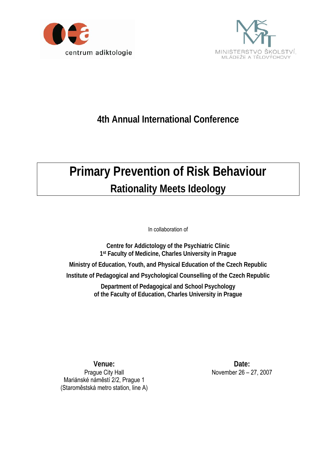



## **4th Annual International Conference**

## **Primary Prevention of Risk Behaviour Rationality Meets Ideology**

In collaboration of

**Centre for Addictology of the Psychiatric Clinic 1st Faculty of Medicine, Charles University in Prague** 

**Ministry of Education, Youth, and Physical Education of the Czech Republic** 

**Institute of Pedagogical and Psychological Counselling of the Czech Republic** 

**Department of Pedagogical and School Psychology of the Faculty of Education, Charles University in Prague** 

**Venue:**  Prague City Hall Mariánské náměstí 2/2, Prague 1 (Staroměstská metro station, line A)

**Date:** November 26 – 27, 2007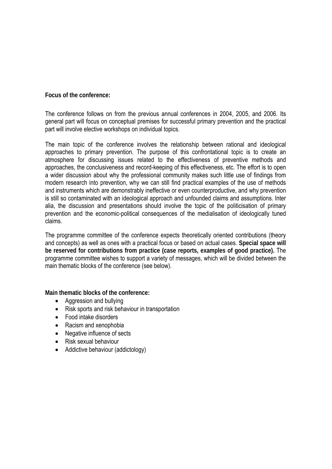**Focus of the conference:** 

The conference follows on from the previous annual conferences in 2004, 2005, and 2006. Its general part will focus on conceptual premises for successful primary prevention and the practical part will involve elective workshops on individual topics.

The main topic of the conference involves the relationship between rational and ideological approaches to primary prevention. The purpose of this confrontational topic is to create an atmosphere for discussing issues related to the effectiveness of preventive methods and approaches, the conclusiveness and record-keeping of this effectiveness, etc. The effort is to open a wider discussion about why the professional community makes such little use of findings from modern research into prevention, why we can still find practical examples of the use of methods and instruments which are demonstrably ineffective or even counterproductive, and why prevention is still so contaminated with an ideological approach and unfounded claims and assumptions. Inter alia, the discussion and presentations should involve the topic of the politicisation of primary prevention and the economic-political consequences of the medialisation of ideologically tuned claims.

The programme committee of the conference expects theoretically oriented contributions (theory and concepts) as well as ones with a practical focus or based on actual cases. **Special space will be reserved for contributions from practice (case reports, examples of good practice).** The programme committee wishes to support a variety of messages, which will be divided between the main thematic blocks of the conference (see below).

**Main thematic blocks of the conference:** 

- Aggression and bullying
- Risk sports and risk behaviour in transportation
- Food intake disorders
- Racism and xenophobia
- Negative influence of sects
- Risk sexual behaviour
- Addictive behaviour (addictology)